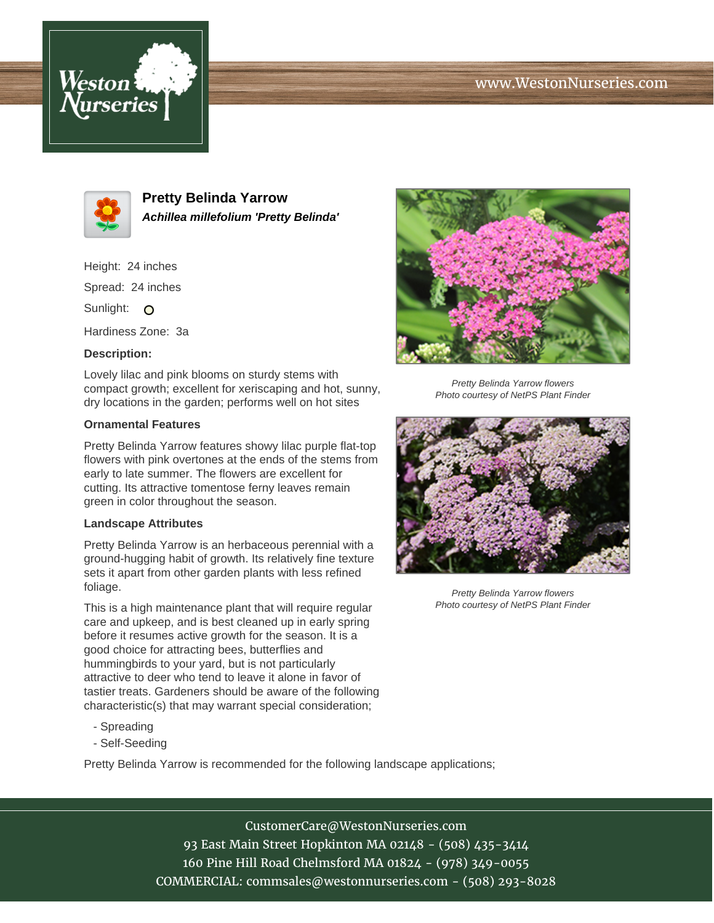# www.WestonNurseries.com





**Pretty Belinda Yarrow Achillea millefolium 'Pretty Belinda'**

Height: 24 inches

Spread: 24 inches

Sunlight: O

Hardiness Zone: 3a

### **Description:**

Lovely lilac and pink blooms on sturdy stems with compact growth; excellent for xeriscaping and hot, sunny, dry locations in the garden; performs well on hot sites

#### **Ornamental Features**

Pretty Belinda Yarrow features showy lilac purple flat-top flowers with pink overtones at the ends of the stems from early to late summer. The flowers are excellent for cutting. Its attractive tomentose ferny leaves remain green in color throughout the season.

#### **Landscape Attributes**

Pretty Belinda Yarrow is an herbaceous perennial with a ground-hugging habit of growth. Its relatively fine texture sets it apart from other garden plants with less refined foliage.

This is a high maintenance plant that will require regular care and upkeep, and is best cleaned up in early spring before it resumes active growth for the season. It is a good choice for attracting bees, butterflies and hummingbirds to your yard, but is not particularly attractive to deer who tend to leave it alone in favor of tastier treats. Gardeners should be aware of the following characteristic(s) that may warrant special consideration;

- Spreading
- Self-Seeding

Pretty Belinda Yarrow is recommended for the following landscape applications;



Pretty Belinda Yarrow flowers Photo courtesy of NetPS Plant Finder



Pretty Belinda Yarrow flowers Photo courtesy of NetPS Plant Finder

CustomerCare@WestonNurseries.com 93 East Main Street Hopkinton MA 02148 - (508) 435-3414 160 Pine Hill Road Chelmsford MA 01824 - (978) 349-0055 COMMERCIAL: commsales@westonnurseries.com - (508) 293-8028